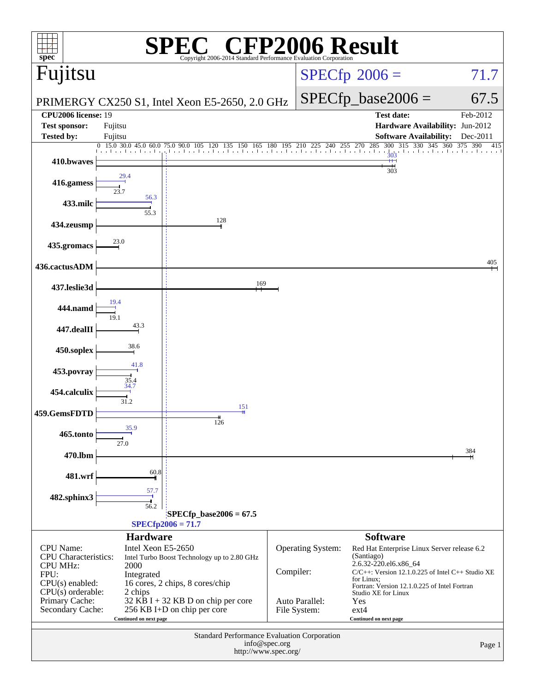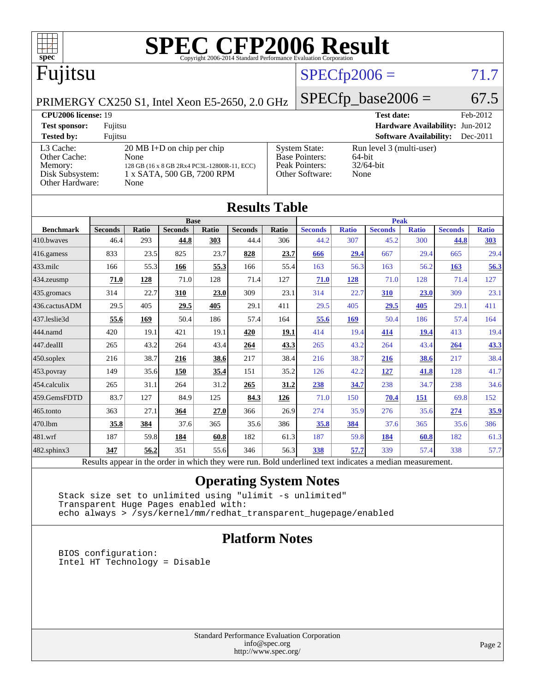

|                                                                                                          | <b>Base</b>    |       |                |       |                | <b>Peak</b> |                |              |                |              |                |              |
|----------------------------------------------------------------------------------------------------------|----------------|-------|----------------|-------|----------------|-------------|----------------|--------------|----------------|--------------|----------------|--------------|
| <b>Benchmark</b>                                                                                         | <b>Seconds</b> | Ratio | <b>Seconds</b> | Ratio | <b>Seconds</b> | Ratio       | <b>Seconds</b> | <b>Ratio</b> | <b>Seconds</b> | <b>Ratio</b> | <b>Seconds</b> | <b>Ratio</b> |
| 410.bwaves                                                                                               | 46.4           | 293   | 44.8           | 303   | 44.4           | 306         | 44.2           | 307          | 45.2           | 300          | 44.8           | 303          |
| $416$ .gamess                                                                                            | 833            | 23.5  | 825            | 23.7  | 828            | 23.7        | 666            | 29.4         | 667            | 29.4         | 665            | 29.4         |
| $ 433 \text{.}$ milc                                                                                     | 166            | 55.3  | 166            | 55.3  | 166            | 55.4        | 163            | 56.3         | 163            | 56.2         | 163            | 56.3         |
| 434.zeusmp                                                                                               | 71.0           | 128   | 71.0           | 128   | 71.4           | 127         | 71.0           | 128          | 71.0           | 128          | 71.4           | 127          |
| 435.gromacs                                                                                              | 314            | 22.7  | 310            | 23.0  | 309            | 23.1        | 314            | 22.7         | 310            | 23.0         | 309            | 23.1         |
| 436.cactusADM                                                                                            | 29.5           | 405   | 29.5           | 405   | 29.1           | 411         | 29.5           | 405          | 29.5           | 405          | 29.1           | 411          |
| 437.leslie3d                                                                                             | 55.6           | 169   | 50.4           | 186   | 57.4           | 164         | 55.6           | 169          | 50.4           | 186          | 57.4           | 164          |
| 444.namd                                                                                                 | 420            | 19.1  | 421            | 19.1  | 420            | 19.1        | 414            | 19.4         | 414            | 19.4         | 413            | 19.4         |
| $447$ .dealII                                                                                            | 265            | 43.2  | 264            | 43.4  | 264            | 43.3        | 265            | 43.2         | 264            | 43.4         | 264            | 43.3         |
| $450$ .soplex                                                                                            | 216            | 38.7  | 216            | 38.6  | 217            | 38.4        | 216            | 38.7         | 216            | 38.6         | 217            | 38.4         |
| $453$ .povray                                                                                            | 149            | 35.6  | 150            | 35.4  | 151            | 35.2        | 126            | 42.2         | 127            | 41.8         | 128            | 41.7         |
| 454.calculix                                                                                             | 265            | 31.1  | 264            | 31.2  | 265            | 31.2        | 238            | 34.7         | 238            | 34.7         | 238            | 34.6         |
| 459.GemsFDTD                                                                                             | 83.7           | 127   | 84.9           | 125   | 84.3           | 126         | 71.0           | 150          | 70.4           | 151          | 69.8           | 152          |
| $465$ .tonto                                                                                             | 363            | 27.1  | 364            | 27.0  | 366            | 26.9        | 274            | 35.9         | 276            | 35.6         | 274            | 35.9         |
| 470.lbm                                                                                                  | 35.8           | 384   | 37.6           | 365   | 35.6           | 386         | 35.8           | 384          | 37.6           | 365          | 35.6           | 386          |
| 481.wrf                                                                                                  | 187            | 59.8  | 184            | 60.8  | 182            | 61.3        | 187            | 59.8         | 184            | 60.8         | 182            | 61.3         |
| $482$ .sphinx $3$                                                                                        | 347            | 56.2  | 351            | 55.6  | 346            | 56.3        | 338            | 57.7         | 339            | 57.4         | 338            | 57.7         |
| Results appear in the order in which they were run. Bold underlined text indicates a median measurement. |                |       |                |       |                |             |                |              |                |              |                |              |

### **[Operating System Notes](http://www.spec.org/auto/cpu2006/Docs/result-fields.html#OperatingSystemNotes)**

 Stack size set to unlimited using "ulimit -s unlimited" Transparent Huge Pages enabled with: echo always > /sys/kernel/mm/redhat\_transparent\_hugepage/enabled

### **[Platform Notes](http://www.spec.org/auto/cpu2006/Docs/result-fields.html#PlatformNotes)**

 BIOS configuration: Intel HT Technology = Disable

> Standard Performance Evaluation Corporation [info@spec.org](mailto:info@spec.org) <http://www.spec.org/>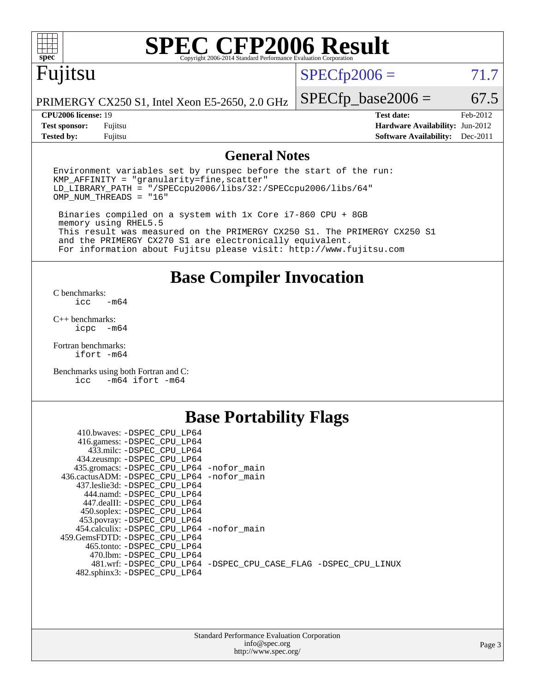

# **[SPEC CFP2006 Result](http://www.spec.org/auto/cpu2006/Docs/result-fields.html#SPECCFP2006Result)**

# Fujitsu

 $SPECfp2006 = 71.7$  $SPECfp2006 = 71.7$ 

PRIMERGY CX250 S1, Intel Xeon E5-2650, 2.0 GHz

**[Tested by:](http://www.spec.org/auto/cpu2006/Docs/result-fields.html#Testedby)** Fujitsu **[Software Availability:](http://www.spec.org/auto/cpu2006/Docs/result-fields.html#SoftwareAvailability)** Dec-2011

**[CPU2006 license:](http://www.spec.org/auto/cpu2006/Docs/result-fields.html#CPU2006license)** 19 **[Test date:](http://www.spec.org/auto/cpu2006/Docs/result-fields.html#Testdate)** Feb-2012 **[Test sponsor:](http://www.spec.org/auto/cpu2006/Docs/result-fields.html#Testsponsor)** Fujitsu **[Hardware Availability:](http://www.spec.org/auto/cpu2006/Docs/result-fields.html#HardwareAvailability)** Jun-2012

 $SPECTp\_base2006 = 67.5$ 

### **[General Notes](http://www.spec.org/auto/cpu2006/Docs/result-fields.html#GeneralNotes)**

Environment variables set by runspec before the start of the run:  $KMP$  AFFINITY = "granularity=fine, scatter" LD\_LIBRARY\_PATH = "/SPECcpu2006/libs/32:/SPECcpu2006/libs/64" OMP\_NUM\_THREADS = "16"

 Binaries compiled on a system with 1x Core i7-860 CPU + 8GB memory using RHEL5.5 This result was measured on the PRIMERGY CX250 S1. The PRIMERGY CX250 S1 and the PRIMERGY CX270 S1 are electronically equivalent. For information about Fujitsu please visit: <http://www.fujitsu.com>

**[Base Compiler Invocation](http://www.spec.org/auto/cpu2006/Docs/result-fields.html#BaseCompilerInvocation)**

[C benchmarks](http://www.spec.org/auto/cpu2006/Docs/result-fields.html#Cbenchmarks):  $-m64$ 

[C++ benchmarks:](http://www.spec.org/auto/cpu2006/Docs/result-fields.html#CXXbenchmarks) [icpc -m64](http://www.spec.org/cpu2006/results/res2012q3/cpu2006-20120605-22769.flags.html#user_CXXbase_intel_icpc_64bit_bedb90c1146cab66620883ef4f41a67e)

[Fortran benchmarks](http://www.spec.org/auto/cpu2006/Docs/result-fields.html#Fortranbenchmarks): [ifort -m64](http://www.spec.org/cpu2006/results/res2012q3/cpu2006-20120605-22769.flags.html#user_FCbase_intel_ifort_64bit_ee9d0fb25645d0210d97eb0527dcc06e)

[Benchmarks using both Fortran and C](http://www.spec.org/auto/cpu2006/Docs/result-fields.html#BenchmarksusingbothFortranandC): [icc -m64](http://www.spec.org/cpu2006/results/res2012q3/cpu2006-20120605-22769.flags.html#user_CC_FCbase_intel_icc_64bit_0b7121f5ab7cfabee23d88897260401c) [ifort -m64](http://www.spec.org/cpu2006/results/res2012q3/cpu2006-20120605-22769.flags.html#user_CC_FCbase_intel_ifort_64bit_ee9d0fb25645d0210d97eb0527dcc06e)

### **[Base Portability Flags](http://www.spec.org/auto/cpu2006/Docs/result-fields.html#BasePortabilityFlags)**

| 410.bwaves: -DSPEC CPU LP64<br>416.gamess: -DSPEC_CPU_LP64<br>433.milc: -DSPEC CPU LP64 |                                                                |
|-----------------------------------------------------------------------------------------|----------------------------------------------------------------|
| 434.zeusmp: - DSPEC_CPU_LP64                                                            |                                                                |
| 435.gromacs: -DSPEC_CPU_LP64 -nofor_main                                                |                                                                |
| 436.cactusADM: -DSPEC CPU LP64 -nofor main                                              |                                                                |
| 437.leslie3d: -DSPEC CPU LP64                                                           |                                                                |
| 444.namd: -DSPEC CPU LP64                                                               |                                                                |
| 447.dealII: -DSPEC_CPU LP64                                                             |                                                                |
| 450.soplex: -DSPEC_CPU_LP64                                                             |                                                                |
| 453.povray: -DSPEC_CPU_LP64                                                             |                                                                |
| 454.calculix: - DSPEC CPU LP64 - nofor main                                             |                                                                |
| 459. GemsFDTD: - DSPEC CPU LP64                                                         |                                                                |
| 465.tonto: - DSPEC CPU LP64                                                             |                                                                |
| 470.1bm: - DSPEC CPU LP64                                                               |                                                                |
|                                                                                         | 481.wrf: -DSPEC CPU_LP64 -DSPEC_CPU_CASE_FLAG -DSPEC_CPU_LINUX |
| 482.sphinx3: -DSPEC_CPU_LP64                                                            |                                                                |
|                                                                                         |                                                                |

| <b>Standard Performance Evaluation Corporation</b> |
|----------------------------------------------------|
| info@spec.org                                      |
| http://www.spec.org/                               |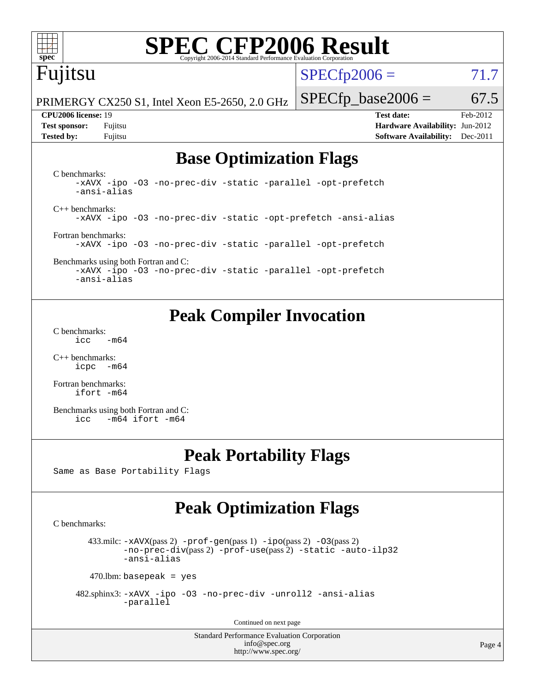

# **[SPEC CFP2006 Result](http://www.spec.org/auto/cpu2006/Docs/result-fields.html#SPECCFP2006Result)**

# Fujitsu

 $SPECTp2006 = 71.7$ 

PRIMERGY CX250 S1, Intel Xeon E5-2650, 2.0 GHz

**[Tested by:](http://www.spec.org/auto/cpu2006/Docs/result-fields.html#Testedby)** Fujitsu **[Software Availability:](http://www.spec.org/auto/cpu2006/Docs/result-fields.html#SoftwareAvailability)** Dec-2011

 $SPECTp\_base2006 = 67.5$ **[CPU2006 license:](http://www.spec.org/auto/cpu2006/Docs/result-fields.html#CPU2006license)** 19 **[Test date:](http://www.spec.org/auto/cpu2006/Docs/result-fields.html#Testdate)** Feb-2012 **[Test sponsor:](http://www.spec.org/auto/cpu2006/Docs/result-fields.html#Testsponsor)** Fujitsu **[Hardware Availability:](http://www.spec.org/auto/cpu2006/Docs/result-fields.html#HardwareAvailability)** Jun-2012

## **[Base Optimization Flags](http://www.spec.org/auto/cpu2006/Docs/result-fields.html#BaseOptimizationFlags)**

[C benchmarks](http://www.spec.org/auto/cpu2006/Docs/result-fields.html#Cbenchmarks): [-xAVX](http://www.spec.org/cpu2006/results/res2012q3/cpu2006-20120605-22769.flags.html#user_CCbase_f-xAVX) [-ipo](http://www.spec.org/cpu2006/results/res2012q3/cpu2006-20120605-22769.flags.html#user_CCbase_f-ipo) [-O3](http://www.spec.org/cpu2006/results/res2012q3/cpu2006-20120605-22769.flags.html#user_CCbase_f-O3) [-no-prec-div](http://www.spec.org/cpu2006/results/res2012q3/cpu2006-20120605-22769.flags.html#user_CCbase_f-no-prec-div) [-static](http://www.spec.org/cpu2006/results/res2012q3/cpu2006-20120605-22769.flags.html#user_CCbase_f-static) [-parallel](http://www.spec.org/cpu2006/results/res2012q3/cpu2006-20120605-22769.flags.html#user_CCbase_f-parallel) [-opt-prefetch](http://www.spec.org/cpu2006/results/res2012q3/cpu2006-20120605-22769.flags.html#user_CCbase_f-opt-prefetch) [-ansi-alias](http://www.spec.org/cpu2006/results/res2012q3/cpu2006-20120605-22769.flags.html#user_CCbase_f-ansi-alias) [C++ benchmarks:](http://www.spec.org/auto/cpu2006/Docs/result-fields.html#CXXbenchmarks) [-xAVX](http://www.spec.org/cpu2006/results/res2012q3/cpu2006-20120605-22769.flags.html#user_CXXbase_f-xAVX) [-ipo](http://www.spec.org/cpu2006/results/res2012q3/cpu2006-20120605-22769.flags.html#user_CXXbase_f-ipo) [-O3](http://www.spec.org/cpu2006/results/res2012q3/cpu2006-20120605-22769.flags.html#user_CXXbase_f-O3) [-no-prec-div](http://www.spec.org/cpu2006/results/res2012q3/cpu2006-20120605-22769.flags.html#user_CXXbase_f-no-prec-div) [-static](http://www.spec.org/cpu2006/results/res2012q3/cpu2006-20120605-22769.flags.html#user_CXXbase_f-static) [-opt-prefetch](http://www.spec.org/cpu2006/results/res2012q3/cpu2006-20120605-22769.flags.html#user_CXXbase_f-opt-prefetch) [-ansi-alias](http://www.spec.org/cpu2006/results/res2012q3/cpu2006-20120605-22769.flags.html#user_CXXbase_f-ansi-alias) [Fortran benchmarks](http://www.spec.org/auto/cpu2006/Docs/result-fields.html#Fortranbenchmarks): [-xAVX](http://www.spec.org/cpu2006/results/res2012q3/cpu2006-20120605-22769.flags.html#user_FCbase_f-xAVX) [-ipo](http://www.spec.org/cpu2006/results/res2012q3/cpu2006-20120605-22769.flags.html#user_FCbase_f-ipo) [-O3](http://www.spec.org/cpu2006/results/res2012q3/cpu2006-20120605-22769.flags.html#user_FCbase_f-O3) [-no-prec-div](http://www.spec.org/cpu2006/results/res2012q3/cpu2006-20120605-22769.flags.html#user_FCbase_f-no-prec-div) [-static](http://www.spec.org/cpu2006/results/res2012q3/cpu2006-20120605-22769.flags.html#user_FCbase_f-static) [-parallel](http://www.spec.org/cpu2006/results/res2012q3/cpu2006-20120605-22769.flags.html#user_FCbase_f-parallel) [-opt-prefetch](http://www.spec.org/cpu2006/results/res2012q3/cpu2006-20120605-22769.flags.html#user_FCbase_f-opt-prefetch) [Benchmarks using both Fortran and C](http://www.spec.org/auto/cpu2006/Docs/result-fields.html#BenchmarksusingbothFortranandC):

[-xAVX](http://www.spec.org/cpu2006/results/res2012q3/cpu2006-20120605-22769.flags.html#user_CC_FCbase_f-xAVX) [-ipo](http://www.spec.org/cpu2006/results/res2012q3/cpu2006-20120605-22769.flags.html#user_CC_FCbase_f-ipo) [-O3](http://www.spec.org/cpu2006/results/res2012q3/cpu2006-20120605-22769.flags.html#user_CC_FCbase_f-O3) [-no-prec-div](http://www.spec.org/cpu2006/results/res2012q3/cpu2006-20120605-22769.flags.html#user_CC_FCbase_f-no-prec-div) [-static](http://www.spec.org/cpu2006/results/res2012q3/cpu2006-20120605-22769.flags.html#user_CC_FCbase_f-static) [-parallel](http://www.spec.org/cpu2006/results/res2012q3/cpu2006-20120605-22769.flags.html#user_CC_FCbase_f-parallel) [-opt-prefetch](http://www.spec.org/cpu2006/results/res2012q3/cpu2006-20120605-22769.flags.html#user_CC_FCbase_f-opt-prefetch) [-ansi-alias](http://www.spec.org/cpu2006/results/res2012q3/cpu2006-20120605-22769.flags.html#user_CC_FCbase_f-ansi-alias)

## **[Peak Compiler Invocation](http://www.spec.org/auto/cpu2006/Docs/result-fields.html#PeakCompilerInvocation)**

[C benchmarks](http://www.spec.org/auto/cpu2006/Docs/result-fields.html#Cbenchmarks):  $\text{icc}$  -m64

[C++ benchmarks:](http://www.spec.org/auto/cpu2006/Docs/result-fields.html#CXXbenchmarks) [icpc -m64](http://www.spec.org/cpu2006/results/res2012q3/cpu2006-20120605-22769.flags.html#user_CXXpeak_intel_icpc_64bit_bedb90c1146cab66620883ef4f41a67e)

[Fortran benchmarks](http://www.spec.org/auto/cpu2006/Docs/result-fields.html#Fortranbenchmarks): [ifort -m64](http://www.spec.org/cpu2006/results/res2012q3/cpu2006-20120605-22769.flags.html#user_FCpeak_intel_ifort_64bit_ee9d0fb25645d0210d97eb0527dcc06e)

[Benchmarks using both Fortran and C](http://www.spec.org/auto/cpu2006/Docs/result-fields.html#BenchmarksusingbothFortranandC): [icc -m64](http://www.spec.org/cpu2006/results/res2012q3/cpu2006-20120605-22769.flags.html#user_CC_FCpeak_intel_icc_64bit_0b7121f5ab7cfabee23d88897260401c) [ifort -m64](http://www.spec.org/cpu2006/results/res2012q3/cpu2006-20120605-22769.flags.html#user_CC_FCpeak_intel_ifort_64bit_ee9d0fb25645d0210d97eb0527dcc06e)

## **[Peak Portability Flags](http://www.spec.org/auto/cpu2006/Docs/result-fields.html#PeakPortabilityFlags)**

Same as Base Portability Flags

## **[Peak Optimization Flags](http://www.spec.org/auto/cpu2006/Docs/result-fields.html#PeakOptimizationFlags)**

[C benchmarks](http://www.spec.org/auto/cpu2006/Docs/result-fields.html#Cbenchmarks):

433.milc:  $-x$ AVX(pass 2)  $-p$ rof-gen(pass 1)  $-p$ po(pass 2)  $-03$ (pass 2) [-no-prec-div](http://www.spec.org/cpu2006/results/res2012q3/cpu2006-20120605-22769.flags.html#user_peakPASS2_CFLAGSPASS2_LDFLAGS433_milc_f-no-prec-div)(pass 2) [-prof-use](http://www.spec.org/cpu2006/results/res2012q3/cpu2006-20120605-22769.flags.html#user_peakPASS2_CFLAGSPASS2_LDFLAGS433_milc_prof_use_bccf7792157ff70d64e32fe3e1250b55)(pass 2) [-static](http://www.spec.org/cpu2006/results/res2012q3/cpu2006-20120605-22769.flags.html#user_peakOPTIMIZE433_milc_f-static) [-auto-ilp32](http://www.spec.org/cpu2006/results/res2012q3/cpu2006-20120605-22769.flags.html#user_peakCOPTIMIZE433_milc_f-auto-ilp32) [-ansi-alias](http://www.spec.org/cpu2006/results/res2012q3/cpu2006-20120605-22769.flags.html#user_peakCOPTIMIZE433_milc_f-ansi-alias)

 $470$ .lbm: basepeak = yes

 482.sphinx3: [-xAVX](http://www.spec.org/cpu2006/results/res2012q3/cpu2006-20120605-22769.flags.html#user_peakOPTIMIZE482_sphinx3_f-xAVX) [-ipo](http://www.spec.org/cpu2006/results/res2012q3/cpu2006-20120605-22769.flags.html#user_peakOPTIMIZE482_sphinx3_f-ipo) [-O3](http://www.spec.org/cpu2006/results/res2012q3/cpu2006-20120605-22769.flags.html#user_peakOPTIMIZE482_sphinx3_f-O3) [-no-prec-div](http://www.spec.org/cpu2006/results/res2012q3/cpu2006-20120605-22769.flags.html#user_peakOPTIMIZE482_sphinx3_f-no-prec-div) [-unroll2](http://www.spec.org/cpu2006/results/res2012q3/cpu2006-20120605-22769.flags.html#user_peakCOPTIMIZE482_sphinx3_f-unroll_784dae83bebfb236979b41d2422d7ec2) [-ansi-alias](http://www.spec.org/cpu2006/results/res2012q3/cpu2006-20120605-22769.flags.html#user_peakCOPTIMIZE482_sphinx3_f-ansi-alias) [-parallel](http://www.spec.org/cpu2006/results/res2012q3/cpu2006-20120605-22769.flags.html#user_peakCOPTIMIZE482_sphinx3_f-parallel)

Continued on next page

Standard Performance Evaluation Corporation [info@spec.org](mailto:info@spec.org) <http://www.spec.org/>

Page 4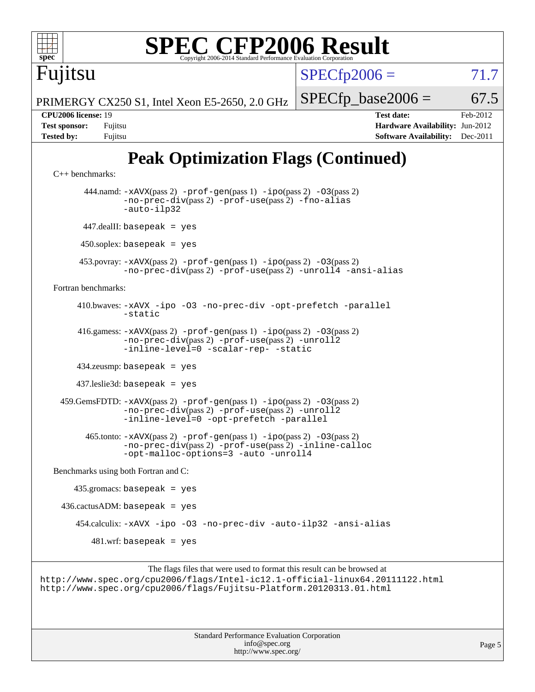| <b>SPEC CFP2006 Result</b><br>spec<br>Copyright 2006-2014 Standard Performance Evaluation Corporation                                                                      |                                                                                                                      |
|----------------------------------------------------------------------------------------------------------------------------------------------------------------------------|----------------------------------------------------------------------------------------------------------------------|
| Fujitsu                                                                                                                                                                    | $SPECfp2006 =$<br>71.7                                                                                               |
| PRIMERGY CX250 S1, Intel Xeon E5-2650, 2.0 GHz                                                                                                                             | $SPECfp\_base2006 =$<br>67.5                                                                                         |
| CPU <sub>2006</sub> license: 19<br><b>Test sponsor:</b><br>Fujitsu<br><b>Tested by:</b><br>Fujitsu                                                                         | <b>Test date:</b><br>Feb-2012<br><b>Hardware Availability: Jun-2012</b><br><b>Software Availability:</b><br>Dec-2011 |
| <b>Peak Optimization Flags (Continued)</b><br>$C_{++}$ benchmarks:                                                                                                         |                                                                                                                      |
| 444.namd: $-xAUX(pass 2)$ -prof-gen(pass 1) -ipo(pass 2) -03(pass 2)<br>-no-prec-div(pass 2) -prof-use(pass 2) -fno-alias<br>-auto-ilp32                                   |                                                                                                                      |
| 447.dealII: basepeak = yes                                                                                                                                                 |                                                                                                                      |
| $450$ .soplex: basepeak = yes                                                                                                                                              |                                                                                                                      |
| 453. povray: $-xAVX(pass 2)$ -prof-gen(pass 1) -ipo(pass 2) -03(pass 2)<br>-no-prec-div(pass 2) -prof-use(pass 2) -unroll4 -ansi-alias                                     |                                                                                                                      |
| Fortran benchmarks:                                                                                                                                                        |                                                                                                                      |
| 410.bwaves: -xAVX -ipo -03 -no-prec-div -opt-prefetch -parallel<br>-static                                                                                                 |                                                                                                                      |
| 416.gamess: -xAVX(pass 2) -prof-gen(pass 1) -ipo(pass 2) -03(pass 2)<br>-no-prec-div(pass 2) -prof-use(pass 2) -unroll2<br>-inline-level=0 -scalar-rep- -static            |                                                                                                                      |
| 434.zeusmp: basepeak = yes                                                                                                                                                 |                                                                                                                      |
| $437$ .leslie3d: basepeak = yes                                                                                                                                            |                                                                                                                      |
| 459. GemsFDTD: $-x$ AVX(pass 2) $-prof-gen(pass 1) -ipo(pass 2) -03(pass 2)$<br>-no-prec-div(pass 2) -prof-use(pass 2) -unroll2<br>-inline-level=0 -opt-prefetch -parallel |                                                                                                                      |
| $465$ .tonto: $-xAUX(pass 2)$ -prof-gen(pass 1) -ipo(pass 2) -03(pass 2)<br>-no-prec-div(pass 2) -prof-use(pass 2) -inline-calloc<br>-opt-malloc-options=3 -auto -unroll4  |                                                                                                                      |
| Benchmarks using both Fortran and C:                                                                                                                                       |                                                                                                                      |
| $435$ .gromacs: basepeak = yes                                                                                                                                             |                                                                                                                      |
| $436.cactusADM: basepeak = yes$                                                                                                                                            |                                                                                                                      |

454.calculix: [-xAVX](http://www.spec.org/cpu2006/results/res2012q3/cpu2006-20120605-22769.flags.html#user_peakOPTIMIZE454_calculix_f-xAVX) [-ipo](http://www.spec.org/cpu2006/results/res2012q3/cpu2006-20120605-22769.flags.html#user_peakOPTIMIZE454_calculix_f-ipo) [-O3](http://www.spec.org/cpu2006/results/res2012q3/cpu2006-20120605-22769.flags.html#user_peakOPTIMIZE454_calculix_f-O3) [-no-prec-div](http://www.spec.org/cpu2006/results/res2012q3/cpu2006-20120605-22769.flags.html#user_peakOPTIMIZE454_calculix_f-no-prec-div) [-auto-ilp32](http://www.spec.org/cpu2006/results/res2012q3/cpu2006-20120605-22769.flags.html#user_peakCOPTIMIZE454_calculix_f-auto-ilp32) [-ansi-alias](http://www.spec.org/cpu2006/results/res2012q3/cpu2006-20120605-22769.flags.html#user_peakCOPTIMIZE454_calculix_f-ansi-alias)

481.wrf: basepeak = yes

```
The flags files that were used to format this result can be browsed at
http://www.spec.org/cpu2006/flags/Intel-ic12.1-official-linux64.20111122.html
http://www.spec.org/cpu2006/flags/Fujitsu-Platform.20120313.01.html
```
Standard Performance Evaluation Corporation [info@spec.org](mailto:info@spec.org) <http://www.spec.org/>